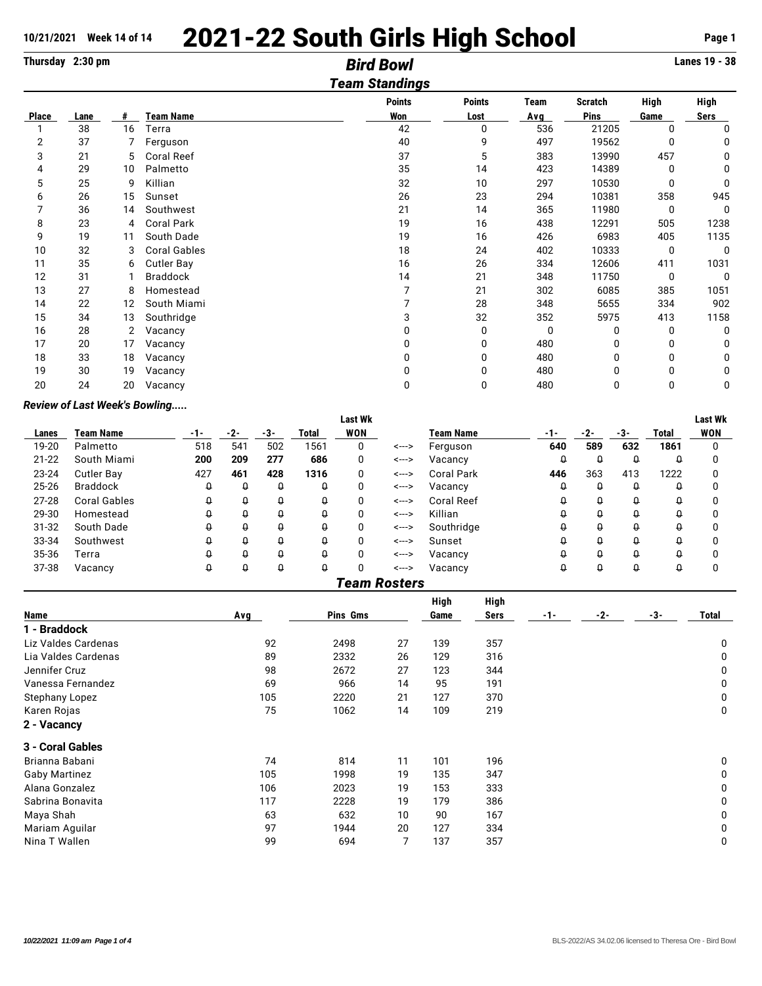# 10/21/2021 Week 14 of 14 **2021-22 South Girls High School** Page 1<br>
Thursday 2:30 pm<br> **10/2100 Bird Bowl**

| Thursday 2:30 pm |      |    | Lanes 19 - 38       |                       |               |      |         |              |              |
|------------------|------|----|---------------------|-----------------------|---------------|------|---------|--------------|--------------|
|                  |      |    |                     | <b>Team Standings</b> |               |      |         |              |              |
|                  |      |    |                     | <b>Points</b>         | <b>Points</b> | Team | Scratch | <b>High</b>  | <b>High</b>  |
| <b>Place</b>     | Lane | #  | <b>Team Name</b>    | Won                   | Lost          | Avg  | Pins    | Game         | <b>Sers</b>  |
|                  | 38   | 16 | Terra               | 42                    | 0             | 536  | 21205   | 0            | 0            |
| 2                | 37   | 7  | Ferguson            | 40                    | 9             | 497  | 19562   | <sup>0</sup> | 0            |
| 3                | 21   | 5  | <b>Coral Reef</b>   | 37                    | 5             | 383  | 13990   | 457          | 0            |
| 4                | 29   | 10 | Palmetto            | 35                    | 14            | 423  | 14389   | 0            | $\mathbf{0}$ |
| 5                | 25   | 9  | Killian             | 32                    | 10            | 297  | 10530   | 0            | $\Omega$     |
| 6                | 26   | 15 | Sunset              | 26                    | 23            | 294  | 10381   | 358          | 945          |
|                  | 36   | 14 | Southwest           | 21                    | 14            | 365  | 11980   | 0            | 0            |
| 8                | 23   | 4  | <b>Coral Park</b>   | 19                    | 16            | 438  | 12291   | 505          | 1238         |
| 9                | 19   | 11 | South Dade          | 19                    | 16            | 426  | 6983    | 405          | 1135         |
| 10               | 32   | 3  | <b>Coral Gables</b> | 18                    | 24            | 402  | 10333   | 0            | 0            |
| 11               | 35   | 6  | <b>Cutler Bay</b>   | 16                    | 26            | 334  | 12606   | 411          | 1031         |
| 12               | 31   |    | <b>Braddock</b>     | 14                    | 21            | 348  | 11750   | 0            | $\Omega$     |
| 13               | 27   | 8  | Homestead           |                       | 21            | 302  | 6085    | 385          | 1051         |
| 14               | 22   | 12 | South Miami         |                       | 28            | 348  | 5655    | 334          | 902          |
| 15               | 34   | 13 | Southridge          | 3                     | 32            | 352  | 5975    | 413          | 1158         |
| 16               | 28   | 2  | Vacancy             |                       | 0             | 0    | 0       | 0            | 0            |
| 17               | 20   | 17 | Vacancy             |                       | 0             | 480  | 0       | 0            | 0            |
| 18               | 33   | 18 | Vacancy             |                       | 0             | 480  | 0       | 0            | 0            |
| 19               | 30   | 19 | Vacancy             |                       | 0             | 480  | 0       | 0            | 0            |
| 20               | 24   | 20 | Vacancy             | 0                     | 0             | 480  | 0       | 0            | 0            |

## *Review of Last Week's Bowling.....*

|           |                     |       |     |          |       | <b>Last Wk</b> |       |                   |          |       |     |       | Last Wk    |
|-----------|---------------------|-------|-----|----------|-------|----------------|-------|-------------------|----------|-------|-----|-------|------------|
| Lanes     | Team Name           | $-1-$ | -2- | -3-      | Total | <b>WON</b>     |       | <b>Team Name</b>  | -1-      | $-2-$ | -3- | Total | <b>WON</b> |
| 19-20     | Palmetto            | 518   | 541 | 502      | 1561  | 0              | <---> | Ferguson          | 640      | 589   | 632 | 1861  | 0          |
| $21 - 22$ | South Miami         | 200   | 209 | 277      | 686   | 0              | <---> | Vacancy           | Û        | Q     | û   | Q     |            |
| 23-24     | Cutler Bay          | 427   | 461 | 428      | 1316  | 0              | <---> | <b>Coral Park</b> | 446      | 363   | 413 | 1222  |            |
| 25-26     | <b>Braddock</b>     | 0     | û   | O        | û     | 0              | <---> | Vacancy           | $\Omega$ | Q     | û   | Q     |            |
| $27 - 28$ | <b>Coral Gables</b> | 0     | ₩   | O        | Û     | 0              | <---> | <b>Coral Reef</b> | Û        | Q     | û   | Q     |            |
| 29-30     | Homestead           | û     | u   | Q        | Û     | 0              | <---> | Killian           |          | Ω     | Q   |       |            |
| 31-32     | South Dade          | Q     | ₩   | O        | Û     | 0              | <---> | Southridge        |          | Ω     | Q   | Ω     |            |
| 33-34     | Southwest           | Û     | û   | Q        | û     | 0              | <---> | Sunset            | $\theta$ | Q     | Q   | g     |            |
| 35-36     | Terra               | Û     | Q   | Û        | û     | 0              | <---> | Vacancy           | Û        | Q     | û   | Q     |            |
| 37-38     | Vacancy             | û     | û   | $\theta$ | Û     | 0              | <---> | Vacancy           | O        | Q     | Q   | Q     | O          |

|                       |     |          |    | High | High |       |       |        |             |
|-----------------------|-----|----------|----|------|------|-------|-------|--------|-------------|
| Name                  | Avg | Pins Gms |    | Game | Sers | $-1-$ | $-2-$ | $-3$ - | Total       |
| 1 - Braddock          |     |          |    |      |      |       |       |        |             |
| Liz Valdes Cardenas   | 92  | 2498     | 27 | 139  | 357  |       |       |        | 0           |
| Lia Valdes Cardenas   | 89  | 2332     | 26 | 129  | 316  |       |       |        | 0           |
| Jennifer Cruz         | 98  | 2672     | 27 | 123  | 344  |       |       |        | 0           |
| Vanessa Fernandez     | 69  | 966      | 14 | 95   | 191  |       |       |        | 0           |
| <b>Stephany Lopez</b> | 105 | 2220     | 21 | 127  | 370  |       |       |        | $\mathbf 0$ |
| Karen Rojas           | 75  | 1062     | 14 | 109  | 219  |       |       |        | $\mathbf 0$ |
| 2 - Vacancy           |     |          |    |      |      |       |       |        |             |
| 3 - Coral Gables      |     |          |    |      |      |       |       |        |             |
| Brianna Babani        | 74  | 814      | 11 | 101  | 196  |       |       |        | 0           |
| <b>Gaby Martinez</b>  | 105 | 1998     | 19 | 135  | 347  |       |       |        | 0           |
| Alana Gonzalez        | 106 | 2023     | 19 | 153  | 333  |       |       |        | 0           |
| Sabrina Bonavita      | 117 | 2228     | 19 | 179  | 386  |       |       |        | $\mathbf 0$ |
| Maya Shah             | 63  | 632      | 10 | 90   | 167  |       |       |        | 0           |
| Mariam Aguilar        | 97  | 1944     | 20 | 127  | 334  |       |       |        | 0           |
| Nina T Wallen         | 99  | 694      | 7  | 137  | 357  |       |       |        | $\mathbf 0$ |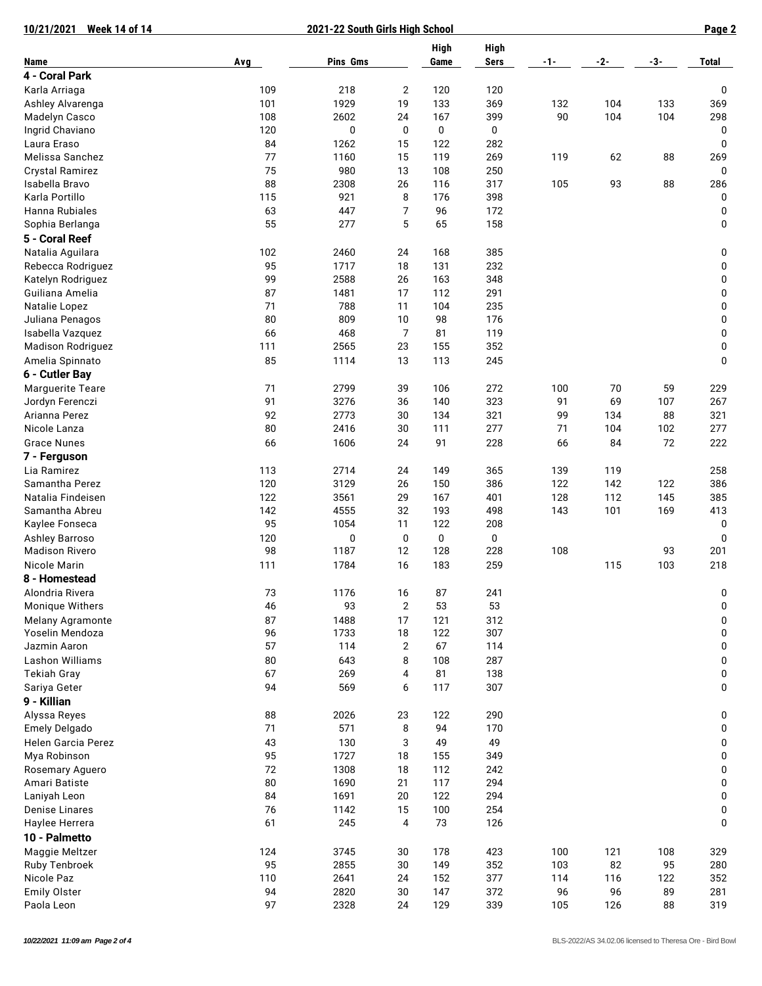| <b>Week 14 of 14</b><br>10/21/2021     |            | 2021-22 South Girls High School |                      |          |             |     |     |       | Page 2 |  |
|----------------------------------------|------------|---------------------------------|----------------------|----------|-------------|-----|-----|-------|--------|--|
|                                        |            |                                 |                      | High     | <b>High</b> |     |     |       |        |  |
| Name                                   | <b>Avg</b> | Pins Gms                        |                      | Game     | <b>Sers</b> | -1- | -2- | $-3-$ | Total  |  |
| 4 - Coral Park                         |            |                                 |                      |          |             |     |     |       |        |  |
| Karla Arriaga                          | 109        | 218                             | $\overline{2}$       | 120      | 120         |     |     |       | 0      |  |
| Ashley Alvarenga                       | 101        | 1929                            | 19                   | 133      | 369         | 132 | 104 | 133   | 369    |  |
| Madelyn Casco                          | 108        | 2602                            | 24                   | 167      | 399         | 90  | 104 | 104   | 298    |  |
| Ingrid Chaviano                        | 120        | $\pmb{0}$                       | $\bf{0}$             | 0        | 0           |     |     |       | 0      |  |
| Laura Eraso                            | 84         | 1262                            | 15                   | 122      | 282         |     |     |       | 0      |  |
| Melissa Sanchez                        | 77         | 1160                            | 15                   | 119      | 269         | 119 | 62  | 88    | 269    |  |
| Crystal Ramirez                        | 75         | 980                             | 13                   | 108      | 250         |     |     |       | 0      |  |
| Isabella Bravo                         | 88         | 2308                            | 26                   | 116      | 317         | 105 | 93  | 88    | 286    |  |
| Karla Portillo                         | 115        | 921                             | 8                    | 176      | 398         |     |     |       | 0      |  |
| Hanna Rubiales                         | 63         | 447                             | 7                    | 96       | 172         |     |     |       | 0      |  |
|                                        | 55         | 277                             | 5                    | 65       | 158         |     |     |       | 0      |  |
| Sophia Berlanga                        |            |                                 |                      |          |             |     |     |       |        |  |
| 5 - Coral Reef                         |            |                                 |                      |          |             |     |     |       |        |  |
| Natalia Aguilara                       | 102        | 2460                            | 24                   | 168      | 385         |     |     |       | 0      |  |
| Rebecca Rodriguez                      | 95         | 1717                            | 18                   | 131      | 232         |     |     |       | 0      |  |
| Katelyn Rodriguez                      | 99         | 2588                            | 26                   | 163      | 348         |     |     |       | 0      |  |
| Guiliana Amelia                        | 87         | 1481                            | 17                   | 112      | 291         |     |     |       | 0      |  |
| Natalie Lopez                          | 71         | 788                             | 11                   | 104      | 235         |     |     |       | 0      |  |
| Juliana Penagos                        | 80         | 809                             | 10                   | 98       | 176         |     |     |       | 0      |  |
| Isabella Vazquez                       | 66         | 468                             | 7                    | 81       | 119         |     |     |       | 0      |  |
| <b>Madison Rodriguez</b>               | 111        | 2565                            | 23                   | 155      | 352         |     |     |       | 0      |  |
| Amelia Spinnato                        | 85         | 1114                            | 13                   | 113      | 245         |     |     |       | 0      |  |
| 6 - Cutler Bay                         |            |                                 |                      |          |             |     |     |       |        |  |
| <b>Marguerite Teare</b>                | 71         | 2799                            | 39                   | 106      | 272         | 100 | 70  | 59    | 229    |  |
| Jordyn Ferenczi                        | 91         | 3276                            | 36                   | 140      | 323         | 91  | 69  | 107   | 267    |  |
| Arianna Perez                          | 92         | 2773                            | 30                   | 134      | 321         | 99  | 134 | 88    | 321    |  |
| Nicole Lanza                           | 80         | 2416                            | 30                   | 111      | 277         | 71  | 104 | 102   | 277    |  |
| <b>Grace Nunes</b>                     | 66         | 1606                            | 24                   | 91       | 228         | 66  | 84  | 72    | 222    |  |
| 7 - Ferguson                           |            |                                 |                      |          |             |     |     |       |        |  |
| Lia Ramirez                            | 113        | 2714                            | 24                   | 149      | 365         | 139 | 119 |       | 258    |  |
| Samantha Perez                         | 120        | 3129                            | 26                   | 150      | 386         | 122 | 142 | 122   | 386    |  |
| Natalia Findeisen                      | 122        | 3561                            | 29                   | 167      | 401         | 128 | 112 | 145   | 385    |  |
| Samantha Abreu                         | 142        | 4555                            | 32                   | 193      | 498         | 143 | 101 | 169   | 413    |  |
| Kaylee Fonseca                         | 95         | 1054                            | 11                   | 122      | 208         |     |     |       | 0      |  |
| Ashley Barroso                         | 120        | 0                               | 0                    | 0        | 0           |     |     |       | 0      |  |
| <b>Madison Rivero</b>                  | 98         | 1187                            | 12                   | 128      | 228         | 108 |     | 93    | 201    |  |
| Nicole Marin                           | 111        | 1784                            | 16                   | 183      | 259         |     | 115 | 103   | 218    |  |
| 8 - Homestead                          |            |                                 |                      |          |             |     |     |       |        |  |
|                                        |            |                                 |                      |          |             |     |     |       |        |  |
| Alondria Rivera<br>Monique Withers     | 73<br>46   | 1176<br>93                      | 16<br>$\overline{2}$ | 87<br>53 | 241<br>53   |     |     |       | 0<br>0 |  |
|                                        |            |                                 |                      |          |             |     |     |       |        |  |
| Melany Agramonte<br>Yoselin Mendoza    | 87         | 1488                            | 17                   | 121      | 312         |     |     |       | 0      |  |
|                                        | 96<br>57   | 1733<br>114                     | 18                   | 122      | 307         |     |     |       | 0      |  |
| Jazmin Aaron<br><b>Lashon Williams</b> |            |                                 | 2                    | 67       | 114         |     |     |       | 0      |  |
|                                        | 80         | 643                             | 8                    | 108      | 287         |     |     |       | 0      |  |
| <b>Tekiah Gray</b>                     | 67         | 269                             | 4                    | 81       | 138         |     |     |       | 0      |  |
| Sariya Geter                           | 94         | 569                             | 6                    | 117      | 307         |     |     |       | 0      |  |
| 9 - Killian                            |            |                                 |                      |          |             |     |     |       |        |  |
| Alyssa Reyes                           | 88         | 2026                            | 23                   | 122      | 290         |     |     |       | 0      |  |
| Emely Delgado                          | 71         | 571                             | 8                    | 94       | 170         |     |     |       | 0      |  |
| Helen Garcia Perez                     | 43         | 130                             | 3                    | 49       | 49          |     |     |       | 0      |  |
| Mya Robinson                           | 95         | 1727                            | 18                   | 155      | 349         |     |     |       | 0      |  |
| Rosemary Aguero                        | 72         | 1308                            | 18                   | 112      | 242         |     |     |       | 0      |  |
| Amari Batiste                          | 80         | 1690                            | 21                   | 117      | 294         |     |     |       | 0      |  |
| Laniyah Leon                           | 84         | 1691                            | 20                   | 122      | 294         |     |     |       | 0      |  |
| <b>Denise Linares</b>                  | 76         | 1142                            | 15                   | 100      | 254         |     |     |       | 0      |  |
| Haylee Herrera                         | 61         | 245                             | 4                    | 73       | 126         |     |     |       | 0      |  |
| 10 - Palmetto                          |            |                                 |                      |          |             |     |     |       |        |  |
| Maggie Meltzer                         | 124        | 3745                            | 30                   | 178      | 423         | 100 | 121 | 108   | 329    |  |
| Ruby Tenbroek                          | 95         | 2855                            | 30                   | 149      | 352         | 103 | 82  | 95    | 280    |  |
| Nicole Paz                             | 110        | 2641                            | 24                   | 152      | 377         | 114 | 116 | 122   | 352    |  |
| <b>Emily Olster</b>                    | 94         | 2820                            | 30                   | 147      | 372         | 96  | 96  | 89    | 281    |  |
| Paola Leon                             | 97         | 2328                            | 24                   | 129      | 339         | 105 | 126 | 88    | 319    |  |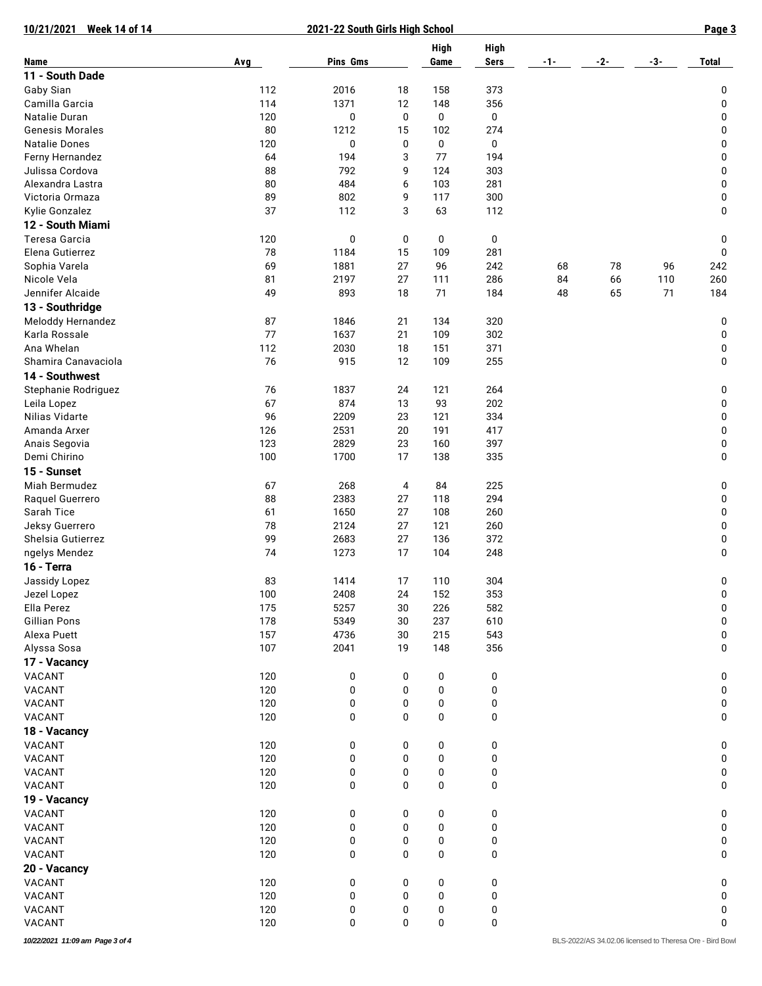| 10/21/2021<br><b>Week 14 of 14</b> |     | 2021-22 South Girls High School |    |           |             |     |                                                          |       | Page 3       |
|------------------------------------|-----|---------------------------------|----|-----------|-------------|-----|----------------------------------------------------------|-------|--------------|
|                                    |     |                                 |    | High      | <b>High</b> |     |                                                          |       |              |
| Name                               | Avg | Pins Gms                        |    | Game      | <b>Sers</b> | -1- | -2-                                                      | $-3-$ | <b>Total</b> |
| 11 - South Dade                    |     |                                 |    |           |             |     |                                                          |       |              |
| Gaby Sian                          | 112 | 2016                            | 18 | 158       | 373         |     |                                                          |       | 0            |
| Camilla Garcia                     | 114 | 1371                            | 12 | 148       | 356         |     |                                                          |       | 0            |
| Natalie Duran                      | 120 | 0                               | 0  | 0         | 0           |     |                                                          |       | 0            |
| <b>Genesis Morales</b>             | 80  | 1212                            | 15 | 102       | 274         |     |                                                          |       | 0            |
| <b>Natalie Dones</b>               | 120 | $\pmb{0}$                       | 0  | 0         | 0           |     |                                                          |       | 0            |
| Ferny Hernandez                    | 64  | 194                             | 3  | 77        | 194         |     |                                                          |       | 0            |
| Julissa Cordova                    | 88  | 792                             | 9  | 124       | 303         |     |                                                          |       | 0            |
| Alexandra Lastra                   | 80  | 484                             | 6  | 103       | 281         |     |                                                          |       | 0            |
| Victoria Ormaza                    | 89  | 802                             | 9  | 117       | 300         |     |                                                          |       | 0            |
| Kylie Gonzalez                     | 37  | 112                             | 3  | 63        | 112         |     |                                                          |       | 0            |
| 12 - South Miami                   |     |                                 |    |           |             |     |                                                          |       |              |
| Teresa Garcia                      | 120 | $\pmb{0}$                       | 0  | 0         | 0           |     |                                                          |       | 0            |
| Elena Gutierrez                    | 78  | 1184                            | 15 | 109       | 281         |     |                                                          |       | 0            |
| Sophia Varela                      | 69  | 1881                            | 27 | 96        | 242         | 68  | 78                                                       | 96    | 242          |
| Nicole Vela                        | 81  | 2197                            | 27 | 111       | 286         | 84  | 66                                                       | 110   | 260          |
| Jennifer Alcaide                   | 49  | 893                             | 18 | 71        | 184         | 48  | 65                                                       | 71    | 184          |
| 13 - Southridge                    |     |                                 |    |           |             |     |                                                          |       |              |
| <b>Meloddy Hernandez</b>           | 87  | 1846                            | 21 | 134       | 320         |     |                                                          |       | 0            |
| Karla Rossale                      | 77  | 1637                            | 21 | 109       | 302         |     |                                                          |       | 0            |
| Ana Whelan                         | 112 | 2030                            |    |           |             |     |                                                          |       |              |
| Shamira Canavaciola                | 76  |                                 | 18 | 151       | 371<br>255  |     |                                                          |       | 0            |
|                                    |     | 915                             | 12 | 109       |             |     |                                                          |       | 0            |
| 14 - Southwest                     |     |                                 |    |           |             |     |                                                          |       |              |
| Stephanie Rodriguez                | 76  | 1837                            | 24 | 121       | 264         |     |                                                          |       | 0            |
| Leila Lopez                        | 67  | 874                             | 13 | 93        | 202         |     |                                                          |       | 0            |
| Nilias Vidarte                     | 96  | 2209                            | 23 | 121       | 334         |     |                                                          |       | 0            |
| Amanda Arxer                       | 126 | 2531                            | 20 | 191       | 417         |     |                                                          |       | 0            |
| Anais Segovia                      | 123 | 2829                            | 23 | 160       | 397         |     |                                                          |       | 0            |
| Demi Chirino                       | 100 | 1700                            | 17 | 138       | 335         |     |                                                          |       | 0            |
| 15 - Sunset                        |     |                                 |    |           |             |     |                                                          |       |              |
| Miah Bermudez                      | 67  | 268                             | 4  | 84        | 225         |     |                                                          |       | 0            |
| Raquel Guerrero                    | 88  | 2383                            | 27 | 118       | 294         |     |                                                          |       | 0            |
| Sarah Tice                         | 61  | 1650                            | 27 | 108       | 260         |     |                                                          |       | 0            |
| Jeksy Guerrero                     | 78  | 2124                            | 27 | 121       | 260         |     |                                                          |       | 0            |
| Shelsia Gutierrez                  | 99  | 2683                            | 27 | 136       | 372         |     |                                                          |       | 0            |
| ngelys Mendez                      | 74  | 1273                            | 17 | 104       | 248         |     |                                                          |       | 0            |
| 16 - Terra                         |     |                                 |    |           |             |     |                                                          |       |              |
| Jassidy Lopez                      | 83  | 1414                            | 17 | 110       | 304         |     |                                                          |       | 0            |
| Jezel Lopez                        | 100 | 2408                            | 24 | 152       | 353         |     |                                                          |       | 0            |
| Ella Perez                         | 175 | 5257                            | 30 | 226       | 582         |     |                                                          |       | 0            |
| <b>Gillian Pons</b>                | 178 | 5349                            | 30 | 237       | 610         |     |                                                          |       | 0            |
| Alexa Puett                        | 157 | 4736                            | 30 | 215       | 543         |     |                                                          |       | 0            |
| Alyssa Sosa                        | 107 | 2041                            | 19 | 148       | 356         |     |                                                          |       | 0            |
| 17 - Vacancy                       |     |                                 |    |           |             |     |                                                          |       |              |
| VACANT                             | 120 | 0                               | 0  | 0         | 0           |     |                                                          |       | 0            |
| VACANT                             | 120 | 0                               | 0  | $\pmb{0}$ | 0           |     |                                                          |       | 0            |
| VACANT                             | 120 | 0                               | 0  | 0         | 0           |     |                                                          |       | 0            |
| VACANT                             | 120 | 0                               | 0  | 0         | 0           |     |                                                          |       | 0            |
|                                    |     |                                 |    |           |             |     |                                                          |       |              |
| 18 - Vacancy                       |     |                                 |    |           |             |     |                                                          |       |              |
| VACANT                             | 120 | 0                               | 0  | 0         | 0           |     |                                                          |       | 0            |
| VACANT                             | 120 | 0                               | 0  | 0         | 0           |     |                                                          |       | 0            |
| VACANT                             | 120 | 0                               | 0  | $\pmb{0}$ | 0           |     |                                                          |       | 0            |
| VACANT                             | 120 | 0                               | 0  | 0         | 0           |     |                                                          |       | 0            |
| 19 - Vacancy                       |     |                                 |    |           |             |     |                                                          |       |              |
| VACANT                             | 120 | 0                               | 0  | 0         | 0           |     |                                                          |       | 0            |
| VACANT                             | 120 | 0                               | 0  | 0         | 0           |     |                                                          |       | 0            |
| VACANT                             | 120 | 0                               | 0  | 0         | 0           |     |                                                          |       | 0            |
| VACANT                             | 120 | 0                               | 0  | 0         | 0           |     |                                                          |       | 0            |
| 20 - Vacancy                       |     |                                 |    |           |             |     |                                                          |       |              |
| VACANT                             | 120 | 0                               | 0  | 0         | 0           |     |                                                          |       | 0            |
| VACANT                             | 120 | 0                               | 0  | 0         | 0           |     |                                                          |       | 0            |
| VACANT                             | 120 | 0                               | 0  | 0         | 0           |     |                                                          |       | 0            |
| VACANT                             | 120 | 0                               | 0  | 0         | 0           |     |                                                          |       | 0            |
| 10/22/2021 11:09 am Page 3 of 4    |     |                                 |    |           |             |     | BLS-2022/AS 34.02.06 licensed to Theresa Ore - Bird Bowl |       |              |
|                                    |     |                                 |    |           |             |     |                                                          |       |              |